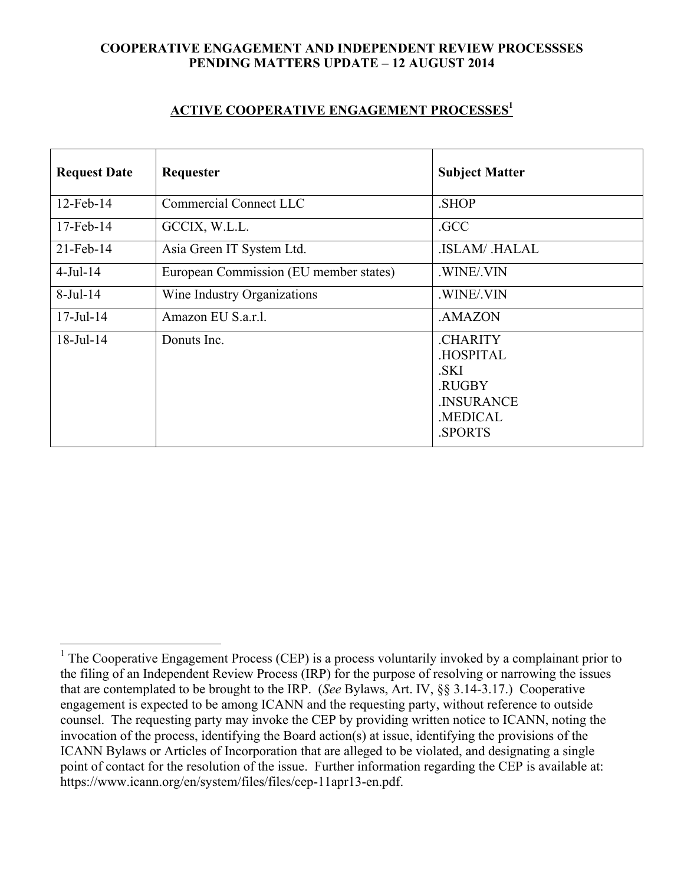## **COOPERATIVE ENGAGEMENT AND INDEPENDENT REVIEW PROCESSSES PENDING MATTERS UPDATE – 12 AUGUST 2014**

## **ACTIVE COOPERATIVE ENGAGEMENT PROCESSES1**

| <b>Request Date</b> | Requester                              | <b>Subject Matter</b>                                                                    |  |
|---------------------|----------------------------------------|------------------------------------------------------------------------------------------|--|
| $12$ -Feb- $14$     | <b>Commercial Connect LLC</b>          | .SHOP                                                                                    |  |
| $17$ -Feb- $14$     | GCCIX, W.L.L.                          | .GCC                                                                                     |  |
| $21$ -Feb-14        | Asia Green IT System Ltd.              | <b>ISLAM/ HALAL</b>                                                                      |  |
| $4$ -Jul-14         | European Commission (EU member states) | .WINE/.VIN                                                                               |  |
| $8$ -Jul-14         | Wine Industry Organizations            | .WINE/.VIN                                                                               |  |
| $17 -$ Jul $-14$    | Amazon EU S.a.r.l.                     | .AMAZON                                                                                  |  |
| $18$ -Jul- $14$     | Donuts Inc.                            | <b>CHARITY</b><br><b>HOSPITAL</b><br>.SKI<br>.RUGBY<br>.INSURANCE<br>.MEDICAL<br>.SPORTS |  |

<sup>&</sup>lt;sup>1</sup> The Cooperative Engagement Process (CEP) is a process voluntarily invoked by a complainant prior to the filing of an Independent Review Process (IRP) for the purpose of resolving or narrowing the issues that are contemplated to be brought to the IRP. (*See* Bylaws, Art. IV, §§ 3.14-3.17.) Cooperative engagement is expected to be among ICANN and the requesting party, without reference to outside counsel. The requesting party may invoke the CEP by providing written notice to ICANN, noting the invocation of the process, identifying the Board action(s) at issue, identifying the provisions of the ICANN Bylaws or Articles of Incorporation that are alleged to be violated, and designating a single point of contact for the resolution of the issue. Further information regarding the CEP is available at: https://www.icann.org/en/system/files/files/cep-11apr13-en.pdf.